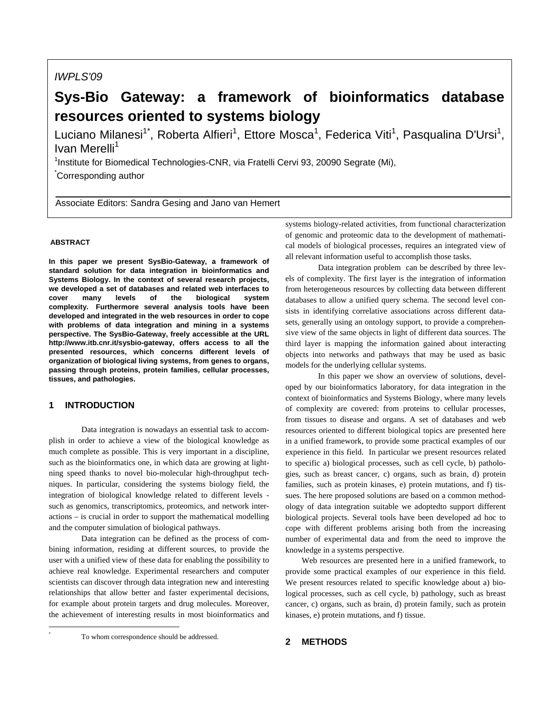# *IWPLS'09*

# **Sys-Bio Gateway: a framework of bioinformatics database resources oriented to systems biology**

Luciano Milanesi<sup>1\*</sup>, Roberta Alfieri<sup>1</sup>, Ettore Mosca<sup>1</sup>, Federica Viti<sup>1</sup>, Pasqualina D'Ursi<sup>1</sup>, Ivan Merelli<sup>1</sup>

<sup>1</sup>Institute for Biomedical Technologies-CNR, via Fratelli Cervi 93, 20090 Segrate (Mi), \* Corresponding author

Associate Editors: Sandra Gesing and Jano van Hemert

# **ABSTRACT**

**In this paper we present SysBio-Gateway, a framework of standard solution for data integration in bioinformatics and Systems Biology. In the context of several research projects, we developed a set of databases and related web interfaces to cover many levels of the biological system complexity. Furthermore several analysis tools have been developed and integrated in the web resources in order to cope with problems of data integration and mining in a systems perspective. The SysBio-Gateway, freely accessible at the URL http://www.itb.cnr.it/sysbio-gateway, offers access to all the presented resources, which concerns different levels of organization of biological living systems, from genes to organs, passing through proteins, protein families, cellular processes, tissues, and pathologies.** 

## **1 INTRODUCTION**

l \*

 Data integration is nowadays an essential task to accomplish in order to achieve a view of the biological knowledge as much complete as possible. This is very important in a discipline, such as the bioinformatics one, in which data are growing at lightning speed thanks to novel bio-molecular high-throughput techniques. In particular, considering the systems biology field, the integration of biological knowledge related to different levels such as genomics, transcriptomics, proteomics, and network interactions – is crucial in order to support the mathematical modelling and the computer simulation of biological pathways.

Data integration can be defined as the process of combining information, residing at different sources, to provide the user with a unified view of these data for enabling the possibility to achieve real knowledge. Experimental researchers and computer scientists can discover through data integration new and interesting relationships that allow better and faster experimental decisions, for example about protein targets and drug molecules. Moreover, the achievement of interesting results in most bioinformatics and

To whom correspondence should be addressed.

systems biology-related activities, from functional characterization of genomic and proteomic data to the development of mathematical models of biological processes, requires an integrated view of all relevant information useful to accomplish those tasks.

 Data integration problem can be described by three levels of complexity. The first layer is the integration of information from heterogeneous resources by collecting data between different databases to allow a unified query schema. The second level consists in identifying correlative associations across different datasets, generally using an ontology support, to provide a comprehensive view of the same objects in light of different data sources. The third layer is mapping the information gained about interacting objects into networks and pathways that may be used as basic models for the underlying cellular systems.

 In this paper we show an overview of solutions, developed by our bioinformatics laboratory, for data integration in the context of bioinformatics and Systems Biology, where many levels of complexity are covered: from proteins to cellular processes, from tissues to disease and organs. A set of databases and web resources oriented to different biological topics are presented here in a unified framework, to provide some practical examples of our experience in this field. In particular we present resources related to specific a) biological processes, such as cell cycle, b) pathologies, such as breast cancer, c) organs, such as brain, d) protein families, such as protein kinases, e) protein mutations, and f) tissues. The here proposed solutions are based on a common methodology of data integration suitable we adoptedto support different biological projects. Several tools have been developed ad hoc to cope with different problems arising both from the increasing number of experimental data and from the need to improve the knowledge in a systems perspective.

Web resources are presented here in a unified framework, to provide some practical examples of our experience in this field. We present resources related to specific knowledge about a) biological processes, such as cell cycle, b) pathology, such as breast cancer, c) organs, such as brain, d) protein family, such as protein kinases, e) protein mutations, and f) tissue.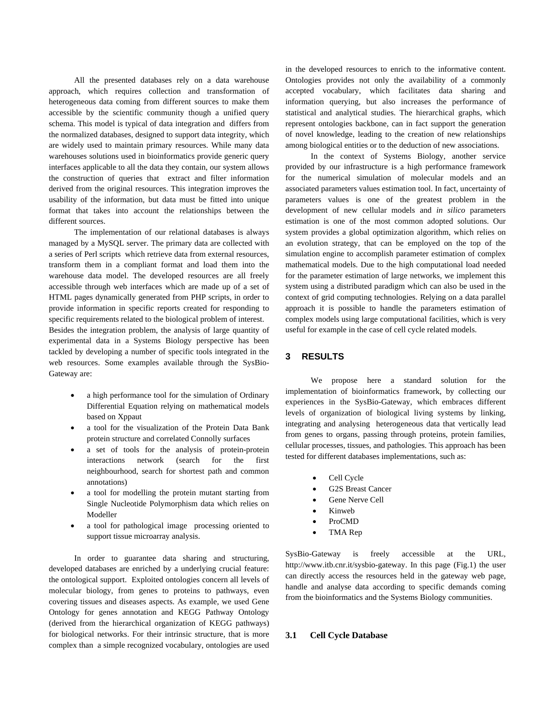All the presented databases rely on a data warehouse approach, which requires collection and transformation of heterogeneous data coming from different sources to make them accessible by the scientific community though a unified query schema. This model is typical of data integration and differs from the normalized databases, designed to support data integrity, which are widely used to maintain primary resources. While many data warehouses solutions used in bioinformatics provide generic query interfaces applicable to all the data they contain, our system allows the construction of queries that extract and filter information derived from the original resources. This integration improves the usability of the information, but data must be fitted into unique format that takes into account the relationships between the different sources.

 The implementation of our relational databases is always managed by a MySQL server. The primary data are collected with a series of Perl scripts which retrieve data from external resources, transform them in a compliant format and load them into the warehouse data model. The developed resources are all freely accessible through web interfaces which are made up of a set of HTML pages dynamically generated from PHP scripts, in order to provide information in specific reports created for responding to specific requirements related to the biological problem of interest. Besides the integration problem, the analysis of large quantity of experimental data in a Systems Biology perspective has been tackled by developing a number of specific tools integrated in the web resources. Some examples available through the SysBio-Gateway are:

- a high performance tool for the simulation of Ordinary Differential Equation relying on mathematical models based on Xppaut
- a tool for the visualization of the Protein Data Bank protein structure and correlated Connolly surfaces
- a set of tools for the analysis of protein-protein interactions network (search for the first neighbourhood, search for shortest path and common annotations)
- a tool for modelling the protein mutant starting from Single Nucleotide Polymorphism data which relies on Modeller
- a tool for pathological image processing oriented to support tissue microarray analysis.

 In order to guarantee data sharing and structuring, developed databases are enriched by a underlying crucial feature: the ontological support. Exploited ontologies concern all levels of molecular biology, from genes to proteins to pathways, even covering tissues and diseases aspects. As example, we used Gene Ontology for genes annotation and KEGG Pathway Ontology (derived from the hierarchical organization of KEGG pathways) for biological networks. For their intrinsic structure, that is more complex than a simple recognized vocabulary, ontologies are used

in the developed resources to enrich to the informative content. Ontologies provides not only the availability of a commonly accepted vocabulary, which facilitates data sharing and information querying, but also increases the performance of statistical and analytical studies. The hierarchical graphs, which represent ontologies backbone, can in fact support the generation of novel knowledge, leading to the creation of new relationships among biological entities or to the deduction of new associations.

 In the context of Systems Biology, another service provided by our infrastructure is a high performance framework for the numerical simulation of molecular models and an associated parameters values estimation tool. In fact, uncertainty of parameters values is one of the greatest problem in the development of new cellular models and *in silico* parameters estimation is one of the most common adopted solutions. Our system provides a global optimization algorithm, which relies on an evolution strategy, that can be employed on the top of the simulation engine to accomplish parameter estimation of complex mathematical models. Due to the high computational load needed for the parameter estimation of large networks, we implement this system using a distributed paradigm which can also be used in the context of grid computing technologies. Relying on a data parallel approach it is possible to handle the parameters estimation of complex models using large computational facilities, which is very useful for example in the case of cell cycle related models.

# **3 RESULTS**

 We propose here a standard solution for the implementation of bioinformatics framework, by collecting our experiences in the SysBio-Gateway, which embraces different levels of organization of biological living systems by linking, integrating and analysing heterogeneous data that vertically lead from genes to organs, passing through proteins, protein families, cellular processes, tissues, and pathologies. This approach has been tested for different databases implementations, such as:

- Cell Cycle
- G2S Breast Cancer
- Gene Nerve Cell
- Kinweb
- ProCMD
- TMA Rep

SysBio-Gateway is freely accessible at the URL, <http://www.itb.cnr.it/sysbio-gateway>. In this page (Fig.1) the user can directly access the resources held in the gateway web page, handle and analyse data according to specific demands coming from the bioinformatics and the Systems Biology communities.

#### **3.1 Cell Cycle Database**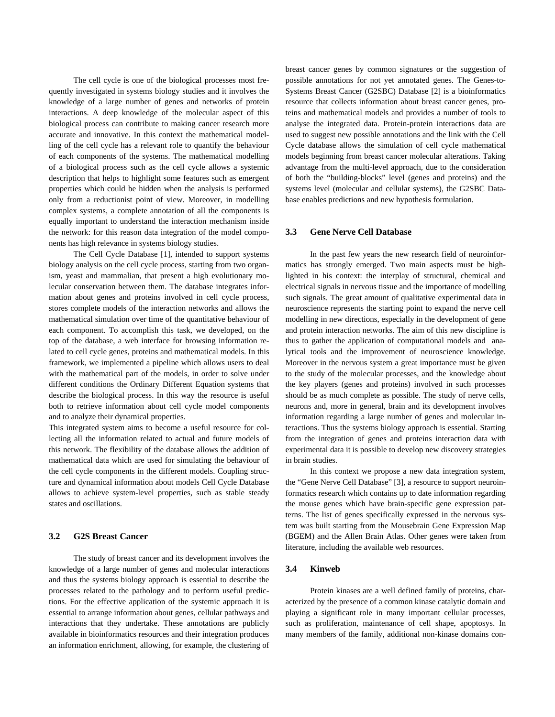The cell cycle is one of the biological processes most frequently investigated in systems biology studies and it involves the knowledge of a large number of genes and networks of protein interactions. A deep knowledge of the molecular aspect of this biological process can contribute to making cancer research more accurate and innovative. In this context the mathematical modelling of the cell cycle has a relevant role to quantify the behaviour of each components of the systems. The mathematical modelling of a biological process such as the cell cycle allows a systemic description that helps to highlight some features such as emergent properties which could be hidden when the analysis is performed only from a reductionist point of view. Moreover, in modelling complex systems, a complete annotation of all the components is equally important to understand the interaction mechanism inside the network: for this reason data integration of the model components has high relevance in systems biology studies.

The Cell Cycle Database [1], intended to support systems biology analysis on the cell cycle process, starting from two organism, yeast and mammalian, that present a high evolutionary molecular conservation between them. The database integrates information about genes and proteins involved in cell cycle process, stores complete models of the interaction networks and allows the mathematical simulation over time of the quantitative behaviour of each component. To accomplish this task, we developed, on the top of the database, a web interface for browsing information related to cell cycle genes, proteins and mathematical models. In this framework, we implemented a pipeline which allows users to deal with the mathematical part of the models, in order to solve under different conditions the Ordinary Different Equation systems that describe the biological process. In this way the resource is useful both to retrieve information about cell cycle model components and to analyze their dynamical properties.

This integrated system aims to become a useful resource for collecting all the information related to actual and future models of this network. The flexibility of the database allows the addition of mathematical data which are used for simulating the behaviour of the cell cycle components in the different models. Coupling structure and dynamical information about models Cell Cycle Database allows to achieve system-level properties, such as stable steady states and oscillations.

#### **3.2 G2S Breast Cancer**

 The study of breast cancer and its development involves the knowledge of a large number of genes and molecular interactions and thus the systems biology approach is essential to describe the processes related to the pathology and to perform useful predictions. For the effective application of the systemic approach it is essential to arrange information about genes, cellular pathways and interactions that they undertake. These annotations are publicly available in bioinformatics resources and their integration produces an information enrichment, allowing, for example, the clustering of breast cancer genes by common signatures or the suggestion of possible annotations for not yet annotated genes. The Genes-to-Systems Breast Cancer (G2SBC) Database [2] is a bioinformatics resource that collects information about breast cancer genes, proteins and mathematical models and provides a number of tools to analyse the integrated data. Protein-protein interactions data are used to suggest new possible annotations and the link with the Cell Cycle database allows the simulation of cell cycle mathematical models beginning from breast cancer molecular alterations. Taking advantage from the multi-level approach, due to the consideration of both the "building-blocks" level (genes and proteins) and the systems level (molecular and cellular systems), the G2SBC Database enables predictions and new hypothesis formulation.

#### **3.3 Gene Nerve Cell Database**

 In the past few years the new research field of neuroinformatics has strongly emerged. Two main aspects must be highlighted in his context: the interplay of structural, chemical and electrical signals in nervous tissue and the importance of modelling such signals. The great amount of qualitative experimental data in neuroscience represents the starting point to expand the nerve cell modelling in new directions, especially in the development of gene and protein interaction networks. The aim of this new discipline is thus to gather the application of computational models and analytical tools and the improvement of neuroscience knowledge. Moreover in the nervous system a great importance must be given to the study of the molecular processes, and the knowledge about the key players (genes and proteins) involved in such processes should be as much complete as possible. The study of nerve cells, neurons and, more in general, brain and its development involves information regarding a large number of genes and molecular interactions. Thus the systems biology approach is essential. Starting from the integration of genes and proteins interaction data with experimental data it is possible to develop new discovery strategies in brain studies.

 In this context we propose a new data integration system, the "Gene Nerve Cell Database" [3], a resource to support neuroinformatics research which contains up to date information regarding the mouse genes which have brain-specific gene expression patterns. The list of genes specifically expressed in the nervous system was built starting from the Mousebrain Gene Expression Map (BGEM) and the Allen Brain Atlas. Other genes were taken from literature, including the available web resources.

#### **3.4 Kinweb**

 Protein kinases are a well defined family of proteins, characterized by the presence of a common kinase catalytic domain and playing a significant role in many important cellular processes, such as proliferation, maintenance of cell shape, apoptosys. In many members of the family, additional non-kinase domains con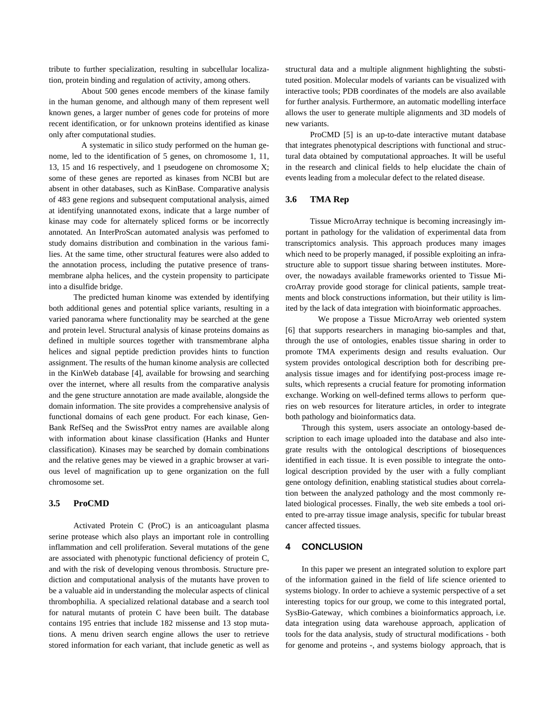tribute to further specialization, resulting in subcellular localization, protein binding and regulation of activity, among others.

About 500 genes encode members of the kinase family in the human genome, and although many of them represent well known genes, a larger number of genes code for proteins of more recent identification, or for unknown proteins identified as kinase only after computational studies.

A systematic in silico study performed on the human genome, led to the identification of 5 genes, on chromosome 1, 11, 13, 15 and 16 respectively, and 1 pseudogene on chromosome X; some of these genes are reported as kinases from NCBI but are absent in other databases, such as KinBase. Comparative analysis of 483 gene regions and subsequent computational analysis, aimed at identifying unannotated exons, indicate that a large number of kinase may code for alternately spliced forms or be incorrectly annotated. An InterProScan automated analysis was perfomed to study domains distribution and combination in the various families. At the same time, other structural features were also added to the annotation process, including the putative presence of transmembrane alpha helices, and the cystein propensity to participate into a disulfide bridge.

The predicted human kinome was extended by identifying both additional genes and potential splice variants, resulting in a varied panorama where functionality may be searched at the gene and protein level. Structural analysis of kinase proteins domains as defined in multiple sources together with transmembrane alpha helices and signal peptide prediction provides hints to function assignment. The results of the human kinome analysis are collected in the KinWeb database [4], available for browsing and searching over the internet, where all results from the comparative analysis and the gene structure annotation are made available, alongside the domain information. The site provides a comprehensive analysis of functional domains of each gene product. For each kinase, Gen-Bank RefSeq and the SwissProt entry names are available along with information about kinase classification (Hanks and Hunter classification). Kinases may be searched by domain combinations and the relative genes may be viewed in a graphic browser at various level of magnification up to gene organization on the full chromosome set.

#### **3.5 ProCMD**

 Activated Protein C (ProC) is an anticoagulant plasma serine protease which also plays an important role in controlling inflammation and cell proliferation. Several mutations of the gene are associated with phenotypic functional deficiency of protein C, and with the risk of developing venous thrombosis. Structure prediction and computational analysis of the mutants have proven to be a valuable aid in understanding the molecular aspects of clinical thrombophilia. A specialized relational database and a search tool for natural mutants of protein C have been built. The database contains 195 entries that include 182 missense and 13 stop mutations. A menu driven search engine allows the user to retrieve stored information for each variant, that include genetic as well as structural data and a multiple alignment highlighting the substituted position. Molecular models of variants can be visualized with interactive tools; PDB coordinates of the models are also available for further analysis. Furthermore, an automatic modelling interface allows the user to generate multiple alignments and 3D models of new variants.

 ProCMD [5] is an up-to-date interactive mutant database that integrates phenotypical descriptions with functional and structural data obtained by computational approaches. It will be useful in the research and clinical fields to help elucidate the chain of events leading from a molecular defect to the related disease.

## **3.6 TMA Rep**

Tissue MicroArray technique is becoming increasingly important in pathology for the validation of experimental data from transcriptomics analysis. This approach produces many images which need to be properly managed, if possible exploiting an infrastructure able to support tissue sharing between institutes. Moreover, the nowadays available frameworks oriented to Tissue MicroArray provide good storage for clinical patients, sample treatments and block constructions information, but their utility is limited by the lack of data integration with bioinformatic approaches.

We propose a Tissue MicroArray web oriented system [6] that supports researchers in managing bio-samples and that, through the use of ontologies, enables tissue sharing in order to promote TMA experiments design and results evaluation. Our system provides ontological description both for describing preanalysis tissue images and for identifying post-process image results, which represents a crucial feature for promoting information exchange. Working on well-defined terms allows to perform queries on web resources for literature articles, in order to integrate both pathology and bioinformatics data.

Through this system, users associate an ontology-based description to each image uploaded into the database and also integrate results with the ontological descriptions of biosequences identified in each tissue. It is even possible to integrate the ontological description provided by the user with a fully compliant gene ontology definition, enabling statistical studies about correlation between the analyzed pathology and the most commonly related biological processes. Finally, the web site embeds a tool oriented to pre-array tissue image analysis, specific for tubular breast cancer affected tissues.

#### **4 CONCLUSION**

 In this paper we present an integrated solution to explore part of the information gained in the field of life science oriented to systems biology. In order to achieve a systemic perspective of a set interesting topics for our group, we come to this integrated portal, SysBio-Gateway, which combines a bioinformatics approach, i.e. data integration using data warehouse approach, application of tools for the data analysis, study of structural modifications - both for genome and proteins -, and systems biology approach, that is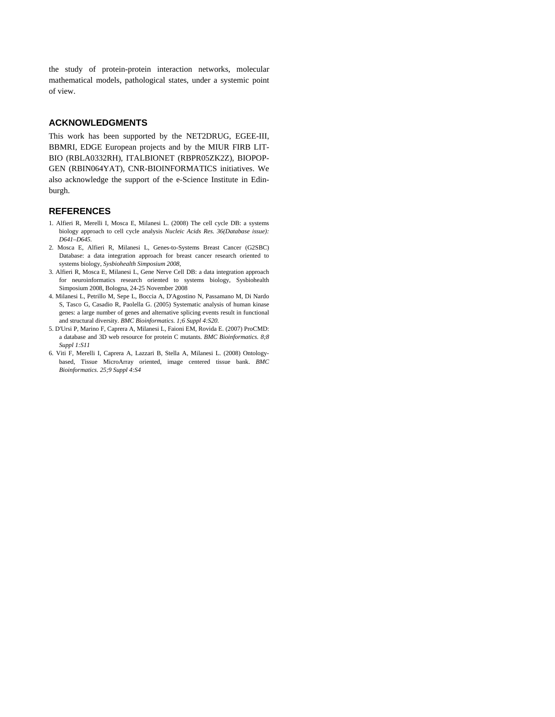the study of protein-protein interaction networks, molecular mathematical models, pathological states, under a systemic point of view.

# **ACKNOWLEDGMENTS**

This work has been supported by the NET2DRUG, EGEE-III, BBMRI, EDGE European projects and by the MIUR FIRB LIT-BIO (RBLA0332RH), ITALBIONET (RBPR05ZK2Z), BIOPOP-GEN (RBIN064YAT), CNR-BIOINFORMATICS initiatives. We also acknowledge the support of the e-Science Institute in Edinburgh.

#### **REFERENCES**

- 1. Alfieri R, Merelli I, Mosca E, Milanesi L. (2008) The cell cycle DB: a systems biology approach to cell cycle analysis *Nucleic Acids Res. 36(Database issue): D641–D645.*
- 2. Mosca E, Alfieri R, Milanesi L, Genes-to-Systems Breast Cancer (G2SBC) Database: a data integration approach for breast cancer research oriented to systems biology, *Sysbiohealth Simposium 2008*,
- 3. Alfieri R, Mosca E, Milanesi L, Gene Nerve Cell DB: a data integration approach for neuroinformatics research oriented to systems biology, Sysbiohealth Simposium 2008, Bologna, 24-25 November 2008
- 4. Milanesi L, Petrillo M, Sepe L, Boccia A, D'Agostino N, Passamano M, Di Nardo S, Tasco G, Casadio R, Paolella G. (2005) Systematic analysis of human kinase genes: a large number of genes and alternative splicing events result in functional and structural diversity. *BMC Bioinformatics. 1;6 Suppl 4:S20.*
- 5. D'Ursi P, Marino F, Caprera A, Milanesi L, Faioni EM, Rovida E. (2007) ProCMD: a database and 3D web resource for protein C mutants. *BMC Bioinformatics. 8;8 Suppl 1:S11*
- 6. Viti F, Merelli I, Caprera A, Lazzari B, Stella A, Milanesi L. (2008) Ontologybased, Tissue MicroArray oriented, image centered tissue bank. *BMC Bioinformatics. 25;9 Suppl 4:S4*